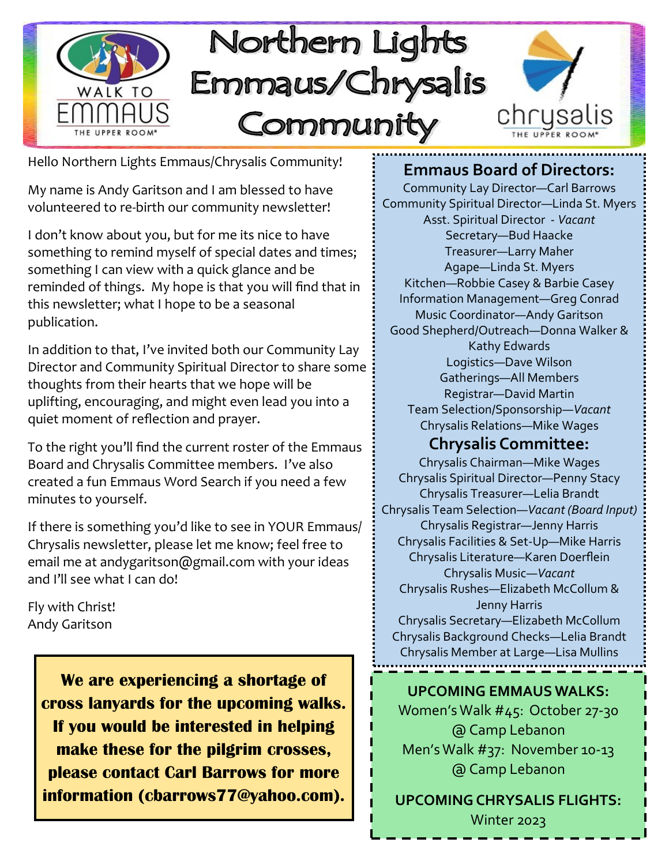

Hello Northern Lights Emmaus/Chrysalis Community!

My name is Andy Garitson and I am blessed to have volunteered to re-birth our community newsletter!

I don't know about you, but for me its nice to have something to remind myself of special dates and times; something I can view with a quick glance and be reminded of things. My hope is that you will find that in this newsletter; what I hope to be a seasonal publication.

In addition to that, I've invited both our Community Lay Director and Community Spiritual Director to share some thoughts from their hearts that we hope will be uplifting, encouraging, and might even lead you into a quiet moment of reflection and prayer.

To the right you'll find the current roster of the Emmaus Board and Chrysalis Committee members. I've also created a fun Emmaus Word Search if you need a few minutes to yourself.

If there is something you'd like to see in YOUR Emmaus/ Chrysalis newsletter, please let me know; feel free to email me at andygaritson@gmail.com with your ideas and I'll see what I can do!

Fly with Christ! Andy Garitson

> **We are experiencing a shortage of cross lanyards for the upcoming walks. If you would be interested in helping make these for the pilgrim crosses, please contact Carl Barrows for more information (cbarrows77@yahoo.com).**

### **Emmaus Board of Directors:**

Community Lay Director—Carl Barrows Community Spiritual Director—Linda St. Myers Asst. Spiritual Director - *Vacant* Secretary—Bud Haacke Treasurer—Larry Maher Agape—Linda St. Myers Kitchen—Robbie Casey & Barbie Casey Information Management—Greg Conrad Music Coordinator—Andy Garitson Good Shepherd/Outreach—Donna Walker & Kathy Edwards Logistics—Dave Wilson Gatherings—All Members Registrar—David Martin Team Selection/Sponsorship—*Vacant* Chrysalis Relations—Mike Wages

## **Chrysalis Committee:**

Chrysalis Chairman—Mike Wages Chrysalis Spiritual Director—Penny Stacy Chrysalis Treasurer—Lelia Brandt Chrysalis Team Selection—*Vacant (Board Input)* Chrysalis Registrar—Jenny Harris Chrysalis Facilities & Set-Up—Mike Harris Chrysalis Literature—Karen Doerflein Chrysalis Music—*Vacant* Chrysalis Rushes—Elizabeth McCollum & Jenny Harris Chrysalis Secretary—Elizabeth McCollum Chrysalis Background Checks—Lelia Brandt Chrysalis Member at Large—Lisa Mullins

#### **UPCOMING EMMAUS WALKS:**

Women's Walk #45: October 27-30 @ Camp Lebanon Men's Walk #37: November 10-13 @ Camp Lebanon

**UPCOMING CHRYSALIS FLIGHTS:** Winter 2023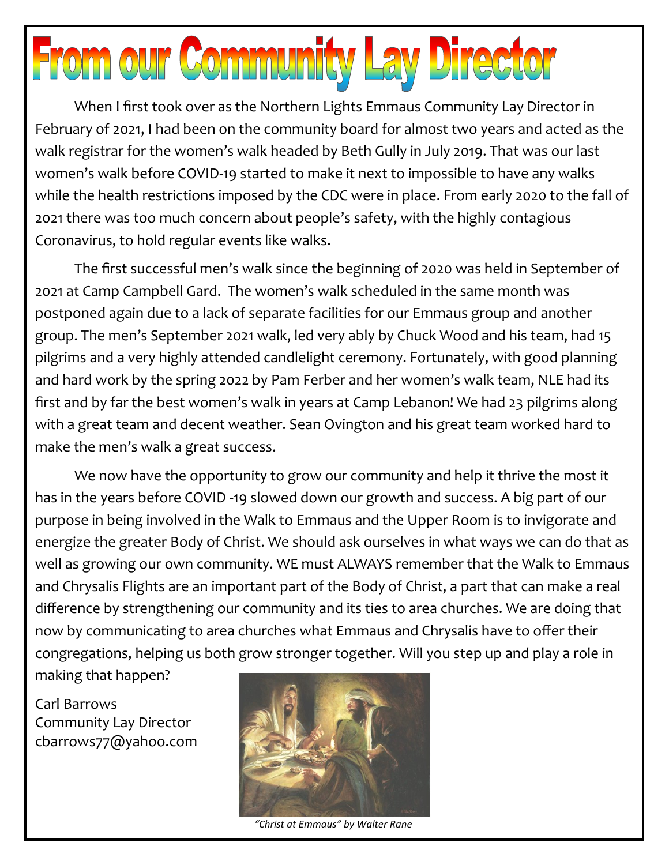# **From our Community Lay Director**

When I first took over as the Northern Lights Emmaus Community Lay Director in February of 2021, I had been on the community board for almost two years and acted as the walk registrar for the women's walk headed by Beth Gully in July 2019. That was our last women's walk before COVID-19 started to make it next to impossible to have any walks while the health restrictions imposed by the CDC were in place. From early 2020 to the fall of 2021 there was too much concern about people's safety, with the highly contagious Coronavirus, to hold regular events like walks.

The first successful men's walk since the beginning of 2020 was held in September of 2021 at Camp Campbell Gard. The women's walk scheduled in the same month was postponed again due to a lack of separate facilities for our Emmaus group and another group. The men's September 2021 walk, led very ably by Chuck Wood and his team, had 15 pilgrims and a very highly attended candlelight ceremony. Fortunately, with good planning and hard work by the spring 2022 by Pam Ferber and her women's walk team, NLE had its first and by far the best women's walk in years at Camp Lebanon! We had 23 pilgrims along with a great team and decent weather. Sean Ovington and his great team worked hard to make the men's walk a great success.

We now have the opportunity to grow our community and help it thrive the most it has in the years before COVID -19 slowed down our growth and success. A big part of our purpose in being involved in the Walk to Emmaus and the Upper Room is to invigorate and energize the greater Body of Christ. We should ask ourselves in what ways we can do that as well as growing our own community. WE must ALWAYS remember that the Walk to Emmaus and Chrysalis Flights are an important part of the Body of Christ, a part that can make a real difference by strengthening our community and its ties to area churches. We are doing that now by communicating to area churches what Emmaus and Chrysalis have to offer their congregations, helping us both grow stronger together. Will you step up and play a role in

making that happen?

Carl Barrows Community Lay Director cbarrows77@yahoo.com



*"Christ at Emmaus" by Walter Rane*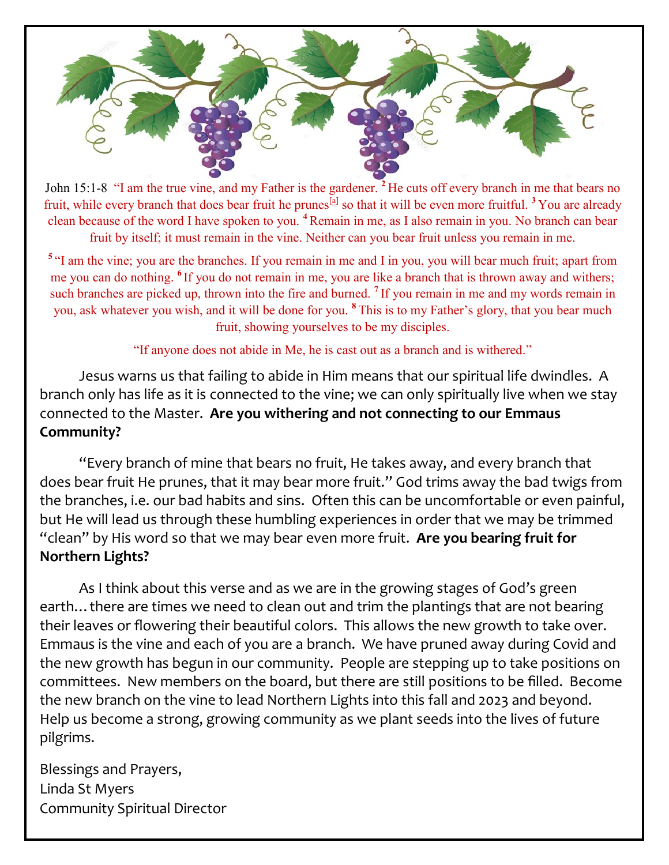

John 15:1-8 "I am the true vine, and my Father is the gardener. **<sup>2</sup>** He cuts off every branch in me that bears no fruit, while every branch that does bear fruit he prunes<sup>[[a\]](https://www.biblegateway.com/passage/?search=John%2015%3A1-8&version=NIV#fen-NIV-26702a)</sup> so that it will be even more fruitful. <sup>3</sup> You are already clean because of the word I have spoken to you. **<sup>4</sup>**Remain in me, as I also remain in you. No branch can bear fruit by itself; it must remain in the vine. Neither can you bear fruit unless you remain in me.

<sup>5</sup> "I am the vine; you are the branches. If you remain in me and I in you, you will bear much fruit; apart from me you can do nothing. **<sup>6</sup>** If you do not remain in me, you are like a branch that is thrown away and withers; such branches are picked up, thrown into the fire and burned. **<sup>7</sup>** If you remain in me and my words remain in you, ask whatever you wish, and it will be done for you. **<sup>8</sup>** This is to my Father's glory, that you bear much fruit, showing yourselves to be my disciples.

"If anyone does not abide in Me, he is cast out as a branch and is withered."

Jesus warns us that failing to abide in Him means that our spiritual life dwindles. A branch only has life as it is connected to the vine; we can only spiritually live when we stay connected to the Master. **Are you withering and not connecting to our Emmaus Community?**

"Every branch of mine that bears no fruit, He takes away, and every branch that does bear fruit He prunes, that it may bear more fruit." God trims away the bad twigs from the branches, i.e. our bad habits and sins. Often this can be uncomfortable or even painful, but He will lead us through these humbling experiences in order that we may be trimmed "clean" by His word so that we may bear even more fruit. **Are you bearing fruit for Northern Lights?**

As I think about this verse and as we are in the growing stages of God's green earth... there are times we need to clean out and trim the plantings that are not bearing their leaves or flowering their beautiful colors. This allows the new growth to take over. Emmaus is the vine and each of you are a branch. We have pruned away during Covid and the new growth has begun in our community. People are stepping up to take positions on committees. New members on the board, but there are still positions to be filled. Become the new branch on the vine to lead Northern Lights into this fall and 2023 and beyond. Help us become a strong, growing community as we plant seeds into the lives of future pilgrims.

Blessings and Prayers, Linda St Myers Community Spiritual Director